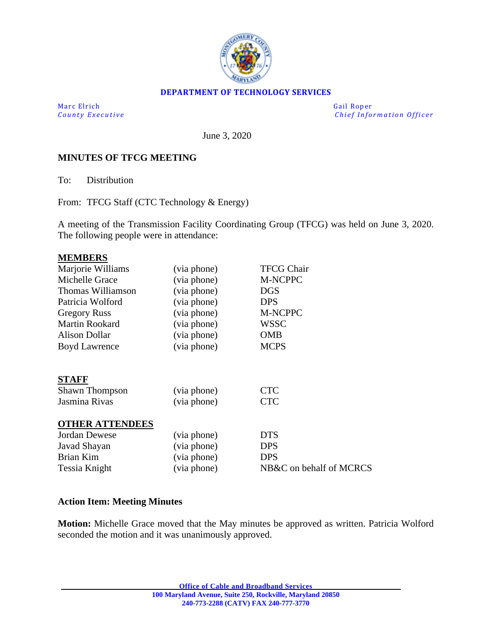

### **DEPARTMENT OF TECHNOLOGY SERVICES**

Marc Elrich Gail Roper

*County Executive Chief Information O fficer*

June 3, 2020

#### **MINUTES OF TFCG MEETING**

To: Distribution

From: TFCG Staff (CTC Technology & Energy)

A meeting of the Transmission Facility Coordinating Group (TFCG) was held on June 3, 2020. The following people were in attendance:

| <b>MEMBERS</b>         |             |                         |
|------------------------|-------------|-------------------------|
| Marjorie Williams      | (via phone) | <b>TFCG Chair</b>       |
| Michelle Grace         | (via phone) | M-NCPPC                 |
| Thomas Williamson      | (via phone) | <b>DGS</b>              |
| Patricia Wolford       | (via phone) | <b>DPS</b>              |
| <b>Gregory Russ</b>    | (via phone) | <b>M-NCPPC</b>          |
| Martin Rookard         | (via phone) | <b>WSSC</b>             |
| <b>Alison Dollar</b>   | (via phone) | <b>OMB</b>              |
| <b>Boyd Lawrence</b>   | (via phone) | <b>MCPS</b>             |
|                        |             |                         |
| <b>STAFF</b>           |             |                         |
| <b>Shawn Thompson</b>  | (via phone) | <b>CTC</b>              |
| Jasmina Rivas          | (via phone) | <b>CTC</b>              |
|                        |             |                         |
| <b>OTHER ATTENDEES</b> |             |                         |
| <b>Jordan Dewese</b>   | (via phone) | <b>DTS</b>              |
| Javad Shayan           | (via phone) | <b>DPS</b>              |
| Brian Kim              | (via phone) | <b>DPS</b>              |
| Tessia Knight          | (via phone) | NB&C on behalf of MCRCS |
|                        |             |                         |

#### **Action Item: Meeting Minutes**

**Motion:** Michelle Grace moved that the May minutes be approved as written. Patricia Wolford seconded the motion and it was unanimously approved.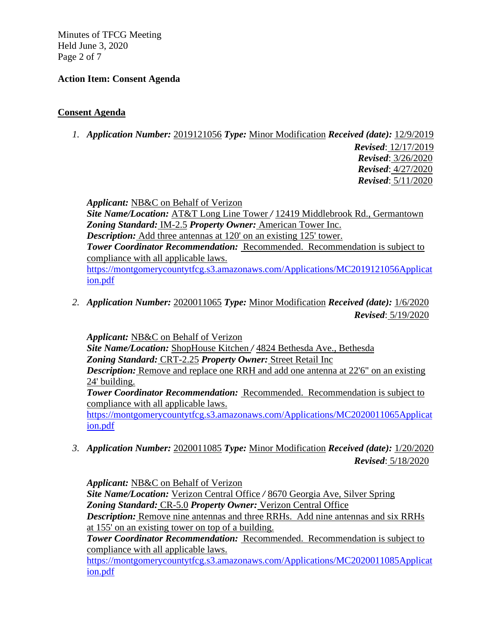Minutes of TFCG Meeting Held June 3, 2020 Page 2 of 7

## **Action Item: Consent Agenda**

## **Consent Agenda**

*1. Application Number:* 2019121056 *Type:* Minor Modification *Received (date):* 12/9/2019

*Revised*: 12/17/2019 *Revised*: 3/26/2020 *Revised*: 4/27/2020 *Revised*: 5/11/2020

*Applicant:* NB&C on Behalf of Verizon

*Site Name/Location:* AT&T Long Line Tower */* 12419 Middlebrook Rd., Germantown *Zoning Standard:* IM-2.5 *Property Owner:* American Tower Inc. *Description:* Add three antennas at 120' on an existing 125' tower. *Tower Coordinator Recommendation:* Recommended. Recommendation is subject to compliance with all applicable laws. [https://montgomerycountytfcg.s3.amazonaws.com/Applications/MC2019121056Applicat](https://montgomerycountytfcg.s3.amazonaws.com/Applications/MC2019121056Application.pdf) [ion.pdf](https://montgomerycountytfcg.s3.amazonaws.com/Applications/MC2019121056Application.pdf)

*2. Application Number:* 2020011065 *Type:* Minor Modification *Received (date):* 1/6/2020 *Revised*: 5/19/2020

*Applicant:* NB&C on Behalf of Verizon

*Site Name/Location:* ShopHouse Kitchen */* 4824 Bethesda Ave., Bethesda

*Zoning Standard:* CRT-2.25 *Property Owner:* Street Retail Inc

*Description:* Remove and replace one RRH and add one antenna at 22'6" on an existing 24' building.

*Tower Coordinator Recommendation:* Recommended. Recommendation is subject to compliance with all applicable laws.

[https://montgomerycountytfcg.s3.amazonaws.com/Applications/MC2020011065Applicat](https://montgomerycountytfcg.s3.amazonaws.com/Applications/MC2020011065Application.pdf) [ion.pdf](https://montgomerycountytfcg.s3.amazonaws.com/Applications/MC2020011065Application.pdf)

*3. Application Number:* 2020011085 *Type:* Minor Modification *Received (date):* 1/20/2020 *Revised*: 5/18/2020

*Applicant:* NB&C on Behalf of Verizon

*Site Name/Location:* Verizon Central Office */* 8670 Georgia Ave, Silver Spring *Zoning Standard:* CR-5.0 *Property Owner:* Verizon Central Office

*Description:* Remove nine antennas and three RRHs. Add nine antennas and six RRHs at 155' on an existing tower on top of a building.

*Tower Coordinator Recommendation:* Recommended. Recommendation is subject to compliance with all applicable laws.

[https://montgomerycountytfcg.s3.amazonaws.com/Applications/MC2020011085Applicat](https://montgomerycountytfcg.s3.amazonaws.com/Applications/MC2020011085Application.pdf) [ion.pdf](https://montgomerycountytfcg.s3.amazonaws.com/Applications/MC2020011085Application.pdf)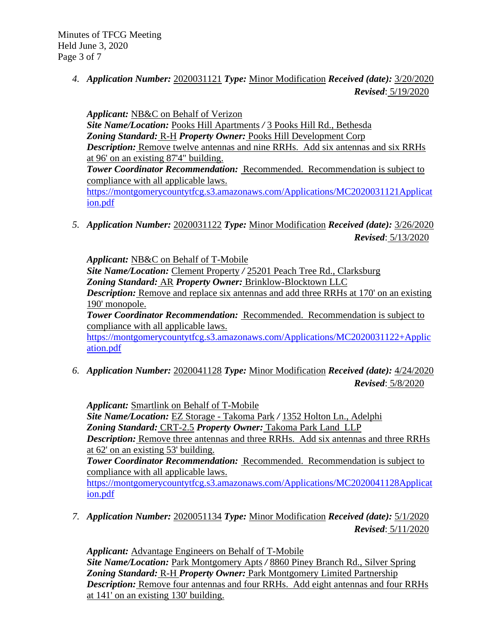Minutes of TFCG Meeting Held June 3, 2020 Page 3 of 7

> *4. Application Number:* 2020031121 *Type:* Minor Modification *Received (date):* 3/20/2020 *Revised*: 5/19/2020

*Applicant:* NB&C on Behalf of Verizon

*Site Name/Location:* Pooks Hill Apartments */* 3 Pooks Hill Rd., Bethesda *Zoning Standard:* R-H *Property Owner:* Pooks Hill Development Corp *Description:* Remove twelve antennas and nine RRHs. Add six antennas and six RRHs at 96' on an existing 87'4" building. *Tower Coordinator Recommendation:* Recommended. Recommendation is subject to compliance with all applicable laws. [https://montgomerycountytfcg.s3.amazonaws.com/Applications/MC2020031121Applicat](https://montgomerycountytfcg.s3.amazonaws.com/Applications/MC2020031121Application.pdf) [ion.pdf](https://montgomerycountytfcg.s3.amazonaws.com/Applications/MC2020031121Application.pdf)

*5. Application Number:* 2020031122 *Type:* Minor Modification *Received (date):* 3/26/2020 *Revised*: 5/13/2020

*Applicant:* NB&C on Behalf of T-Mobile

*Site Name/Location:* Clement Property */* 25201 Peach Tree Rd., Clarksburg *Zoning Standard:* AR *Property Owner:* Brinklow-Blocktown LLC

*Description:* Remove and replace six antennas and add three RRHs at 170' on an existing 190' monopole.

*Tower Coordinator Recommendation:* Recommended. Recommendation is subject to compliance with all applicable laws.

[https://montgomerycountytfcg.s3.amazonaws.com/Applications/MC2020031122+Applic](https://montgomerycountytfcg.s3.amazonaws.com/Applications/MC2020031122+Application.pdf) [ation.pdf](https://montgomerycountytfcg.s3.amazonaws.com/Applications/MC2020031122+Application.pdf)

*6. Application Number:* 2020041128 *Type:* Minor Modification *Received (date):* 4/24/2020 *Revised*: 5/8/2020

*Applicant:* Smartlink on Behalf of T-Mobile *Site Name/Location:* EZ Storage - Takoma Park */* 1352 Holton Ln., Adelphi *Zoning Standard:* CRT-2.5 *Property Owner:* Takoma Park Land LLP *Description:* Remove three antennas and three RRHs. Add six antennas and three RRHs at 62' on an existing 53' building. *Tower Coordinator Recommendation:* Recommended. Recommendation is subject to compliance with all applicable laws. [https://montgomerycountytfcg.s3.amazonaws.com/Applications/MC2020041128Applicat](https://montgomerycountytfcg.s3.amazonaws.com/Applications/MC2020041128Application.pdf) [ion.pdf](https://montgomerycountytfcg.s3.amazonaws.com/Applications/MC2020041128Application.pdf)

*7. Application Number:* 2020051134 *Type:* Minor Modification *Received (date):* 5/1/2020 *Revised*: 5/11/2020

*Applicant:* Advantage Engineers on Behalf of T-Mobile *Site Name/Location:* Park Montgomery Apts */* 8860 Piney Branch Rd., Silver Spring *Zoning Standard:* R-H *Property Owner:* Park Montgomery Limited Partnership *Description:* Remove four antennas and four RRHs. Add eight antennas and four RRHs at 141' on an existing 130' building.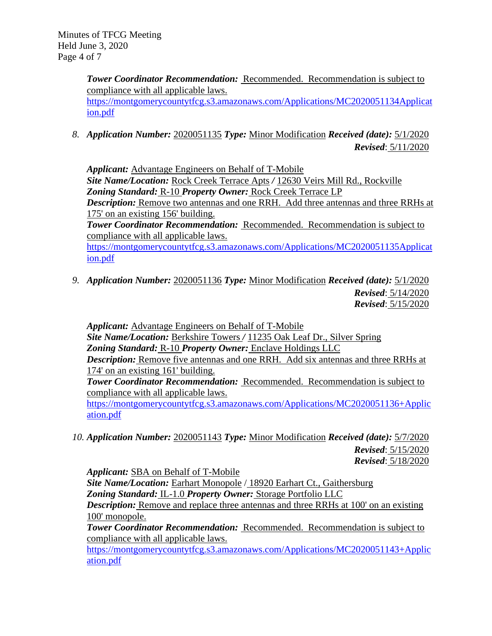*Tower Coordinator Recommendation:* Recommended. Recommendation is subject to compliance with all applicable laws. [https://montgomerycountytfcg.s3.amazonaws.com/Applications/MC2020051134Applicat](https://montgomerycountytfcg.s3.amazonaws.com/Applications/MC2020051134Application.pdf) [ion.pdf](https://montgomerycountytfcg.s3.amazonaws.com/Applications/MC2020051134Application.pdf)

*8. Application Number:* 2020051135 *Type:* Minor Modification *Received (date):* 5/1/2020 *Revised*: 5/11/2020

*Applicant:* Advantage Engineers on Behalf of T-Mobile *Site Name/Location:* Rock Creek Terrace Apts */* 12630 Veirs Mill Rd., Rockville *Zoning Standard:* R-10 *Property Owner:* Rock Creek Terrace LP

*Description:* Remove two antennas and one RRH. Add three antennas and three RRHs at 175' on an existing 156' building.

*Tower Coordinator Recommendation:* Recommended. Recommendation is subject to compliance with all applicable laws.

[https://montgomerycountytfcg.s3.amazonaws.com/Applications/MC2020051135Applicat](https://montgomerycountytfcg.s3.amazonaws.com/Applications/MC2020051135Application.pdf) [ion.pdf](https://montgomerycountytfcg.s3.amazonaws.com/Applications/MC2020051135Application.pdf)

*9. Application Number:* 2020051136 *Type:* Minor Modification *Received (date):* 5/1/2020 *Revised*: 5/14/2020 *Revised*: 5/15/2020

*Applicant:* Advantage Engineers on Behalf of T-Mobile *Site Name/Location:* Berkshire Towers */* 11235 Oak Leaf Dr., Silver Spring *Zoning Standard:* R-10 *Property Owner:* Enclave Holdings LLC *Description:* Remove five antennas and one RRH. Add six antennas and three RRHs at 174' on an existing 161' building.

*Tower Coordinator Recommendation:* Recommended. Recommendation is subject to compliance with all applicable laws.

[https://montgomerycountytfcg.s3.amazonaws.com/Applications/MC2020051136+Applic](https://montgomerycountytfcg.s3.amazonaws.com/Applications/MC2020051136+Application.pdf) [ation.pdf](https://montgomerycountytfcg.s3.amazonaws.com/Applications/MC2020051136+Application.pdf)

*10. Application Number:* 2020051143 *Type:* Minor Modification *Received (date):* 5/7/2020 *Revised*: 5/15/2020 *Revised*: 5/18/2020

*Applicant:* SBA on Behalf of T-Mobile

*Site Name/Location:* Earhart Monopole / 18920 Earhart Ct., Gaithersburg

*Zoning Standard:* IL-1.0 *Property Owner:* Storage Portfolio LLC

*Description:* Remove and replace three antennas and three RRHs at 100' on an existing 100' monopole.

*Tower Coordinator Recommendation:* Recommended. Recommendation is subject to compliance with all applicable laws.

[https://montgomerycountytfcg.s3.amazonaws.com/Applications/MC2020051143+Applic](https://montgomerycountytfcg.s3.amazonaws.com/Applications/MC2020051143+Application.pdf) [ation.pdf](https://montgomerycountytfcg.s3.amazonaws.com/Applications/MC2020051143+Application.pdf)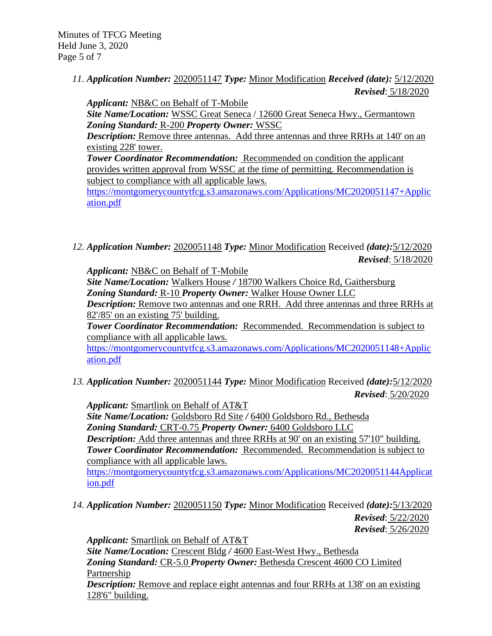Minutes of TFCG Meeting Held June 3, 2020 Page 5 of 7

> *11. Application Number:* 2020051147 *Type:* Minor Modification *Received (date):* 5/12/2020 *Revised*: 5/18/2020

*Applicant:* NB&C on Behalf of T-Mobile *Site Name/Location:* WSSC Great Seneca / 12600 Great Seneca Hwy., Germantown *Zoning Standard:* R-200 *Property Owner:* WSSC

*Description:* Remove three antennas. Add three antennas and three RRHs at 140' on an existing 228' tower.

*Tower Coordinator Recommendation:* Recommended on condition the applicant provides written approval from WSSC at the time of permitting. Recommendation is subject to compliance with all applicable laws.

[https://montgomerycountytfcg.s3.amazonaws.com/Applications/MC2020051147+Applic](https://montgomerycountytfcg.s3.amazonaws.com/Applications/MC2020051147+Application.pdf) [ation.pdf](https://montgomerycountytfcg.s3.amazonaws.com/Applications/MC2020051147+Application.pdf)

*12. Application Number:* 2020051148 *Type:* Minor Modification Received *(date):*5/12/2020 *Revised*: 5/18/2020

*Applicant:* NB&C on Behalf of T-Mobile

*Site Name/Location:* Walkers House */* 18700 Walkers Choice Rd, Gaithersburg *Zoning Standard:* R-10 *Property Owner:* Walker House Owner LLC

*Description:* Remove two antennas and one RRH. Add three antennas and three RRHs at 82'/85' on an existing 75' building.

*Tower Coordinator Recommendation:* Recommended. Recommendation is subject to compliance with all applicable laws.

[https://montgomerycountytfcg.s3.amazonaws.com/Applications/MC2020051148+Applic](https://montgomerycountytfcg.s3.amazonaws.com/Applications/MC2020051148+Application.pdf) [ation.pdf](https://montgomerycountytfcg.s3.amazonaws.com/Applications/MC2020051148+Application.pdf)

*13. Application Number:* 2020051144 *Type:* Minor Modification Received *(date):*5/12/2020 *Revised*: 5/20/2020

*Applicant:* Smartlink on Behalf of AT&T

*Site Name/Location:* Goldsboro Rd Site */* 6400 Goldsboro Rd., Bethesda *Zoning Standard:* CRT-0.75 *Property Owner:* 6400 Goldsboro LLC *Description:* Add three antennas and three RRHs at 90' on an existing 57'10" building. *Tower Coordinator Recommendation:* Recommended. Recommendation is subject to compliance with all applicable laws.

[https://montgomerycountytfcg.s3.amazonaws.com/Applications/MC2020051144Applicat](https://montgomerycountytfcg.s3.amazonaws.com/Applications/MC2020051144Applicat%20%20%20%20%20%20ion.pdf)  [ion.pdf](https://montgomerycountytfcg.s3.amazonaws.com/Applications/MC2020051144Applicat%20%20%20%20%20%20ion.pdf)

*14. Application Number:* 2020051150 *Type:* Minor Modification Received *(date):*5/13/2020 *Revised*: 5/22/2020 *Revised*: 5/26/2020

*Applicant:* Smartlink on Behalf of AT&T *Site Name/Location:* Crescent Bldg */* 4600 East-West Hwy., Bethesda *Zoning Standard:* CR-5.0 *Property Owner:* Bethesda Crescent 4600 CO Limited Partnership *Description:* Remove and replace eight antennas and four RRHs at 138' on an existing 128'6" building.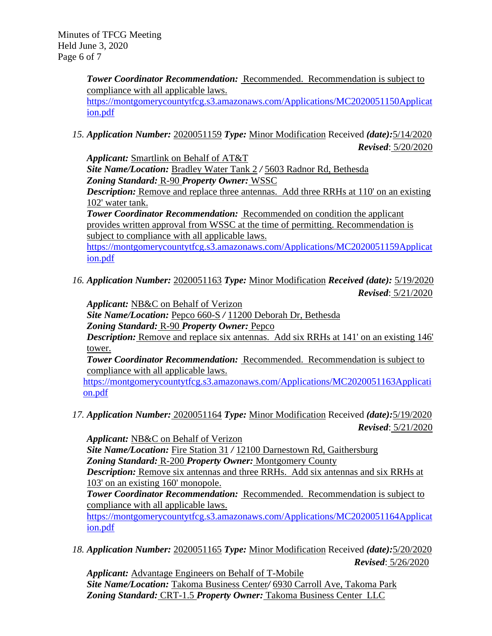*Tower Coordinator Recommendation:* Recommended. Recommendation is subject to compliance with all applicable laws. [https://montgomerycountytfcg.s3.amazonaws.com/Applications/MC2020051150Applicat](https://montgomerycountytfcg.s3.amazonaws.com/Applications/MC2020051150Application.pdf)

[ion.pdf](https://montgomerycountytfcg.s3.amazonaws.com/Applications/MC2020051150Application.pdf)

*15. Application Number:* 2020051159 *Type:* Minor Modification Received *(date):*5/14/2020 *Revised*: 5/20/2020

*Applicant:* Smartlink on Behalf of AT&T *Site Name/Location:* Bradley Water Tank 2 */* 5603 Radnor Rd, Bethesda *Zoning Standard:* R-90 *Property Owner:* WSSC

*Description:* Remove and replace three antennas. Add three RRHs at 110' on an existing 102' water tank.

**Tower Coordinator Recommendation:** Recommended on condition the applicant provides written approval from WSSC at the time of permitting. Recommendation is subject to compliance with all applicable laws.

[https://montgomerycountytfcg.s3.amazonaws.com/Applications/MC2020051159Applicat](https://montgomerycountytfcg.s3.amazonaws.com/Applications/MC2020051159Application.pdf) [ion.pdf](https://montgomerycountytfcg.s3.amazonaws.com/Applications/MC2020051159Application.pdf)

*16. Application Number:* 2020051163 *Type:* Minor Modification *Received (date):* 5/19/2020 *Revised*: 5/21/2020

*Applicant:* NB&C on Behalf of Verizon

*Site Name/Location:* Pepco 660-S */* 11200 Deborah Dr, Bethesda

*Zoning Standard:* R-90 *Property Owner:* Pepco

*Description:* Remove and replace six antennas. Add six RRHs at 141' on an existing 146' tower.

**Tower Coordinator Recommendation:** Recommended. Recommendation is subject to compliance with all applicable laws.

[https://montgomerycountytfcg.s3.amazonaws.com/Applications/MC2020051163Applicati](https://montgomerycountytfcg.s3.amazonaws.com/Applications/MC2020051163Application.pdf) [on.pdf](https://montgomerycountytfcg.s3.amazonaws.com/Applications/MC2020051163Application.pdf)

*17. Application Number:* 2020051164 *Type:* Minor Modification Received *(date):*5/19/2020 *Revised*: 5/21/2020

*Applicant:* NB&C on Behalf of Verizon *Site Name/Location:* Fire Station 31 */* 12100 Darnestown Rd, Gaithersburg *Zoning Standard:* R-200 *Property Owner:* Montgomery County *Description:* Remove six antennas and three RRHs. Add six antennas and six RRHs at 103' on an existing 160' monopole. *Tower Coordinator Recommendation:* Recommended. Recommendation is subject to compliance with all applicable laws. [https://montgomerycountytfcg.s3.amazonaws.com/Applications/MC2020051164Applicat](https://montgomerycountytfcg.s3.amazonaws.com/Applications/MC2020051164Application.pdf) [ion.pdf](https://montgomerycountytfcg.s3.amazonaws.com/Applications/MC2020051164Application.pdf)

*18. Application Number:* 2020051165 *Type:* Minor Modification Received *(date):*5/20/2020 *Revised*: 5/26/2020

*Applicant:* Advantage Engineers on Behalf of T-Mobile *Site Name/Location:* Takoma Business Center*/* 6930 Carroll Ave, Takoma Park *Zoning Standard:* CRT-1.5 *Property Owner:* Takoma Business Center LLC